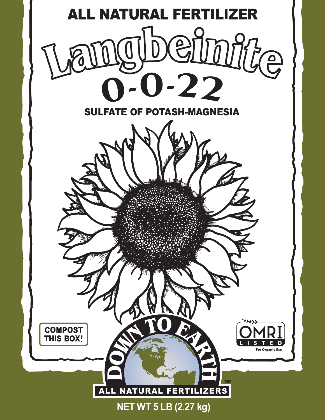